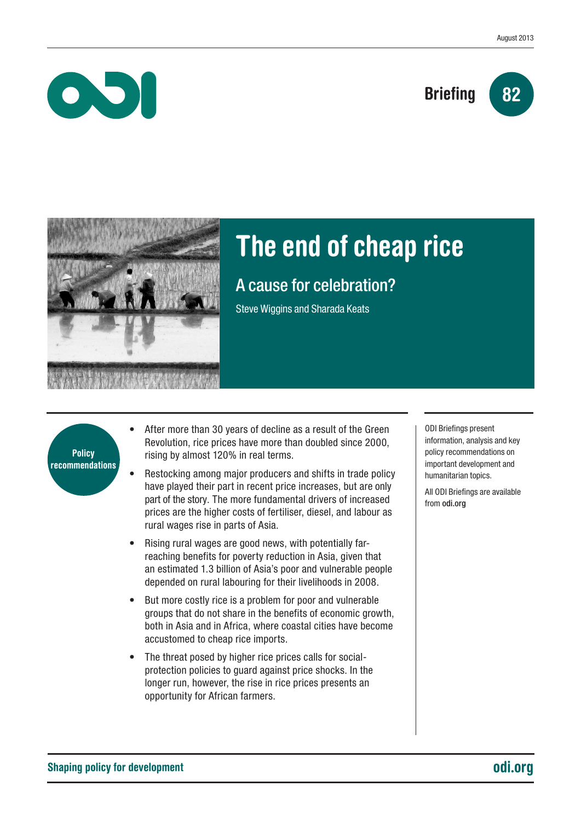## **Briefing**





 $\bullet$ 

# The end of cheap rice

### A cause for celebration?

Steve Wiggins and Sharada Keats



- After more than 30 years of decline as a result of the Green Revolution, rice prices have more than doubled since 2000, rising by almost 120% in real terms.
- Restocking among major producers and shifts in trade policy have played their part in recent price increases, but are only part of the story. The more fundamental drivers of increased prices are the higher costs of fertiliser, diesel, and labour as rural wages rise in parts of Asia.
- Rising rural wages are good news, with potentially farreaching benefits for poverty reduction in Asia, given that an estimated 1.3 billion of Asia's poor and vulnerable people depended on rural labouring for their livelihoods in 2008.
- But more costly rice is a problem for poor and vulnerable groups that do not share in the benefits of economic growth, both in Asia and in Africa, where coastal cities have become accustomed to cheap rice imports.
- The threat posed by higher rice prices calls for socialprotection policies to guard against price shocks. In the longer run, however, the rise in rice prices presents an opportunity for African farmers.

ODI Briefings present information, analysis and key policy recommendations on important development and humanitarian topics.

All ODI Briefings are available from odi.org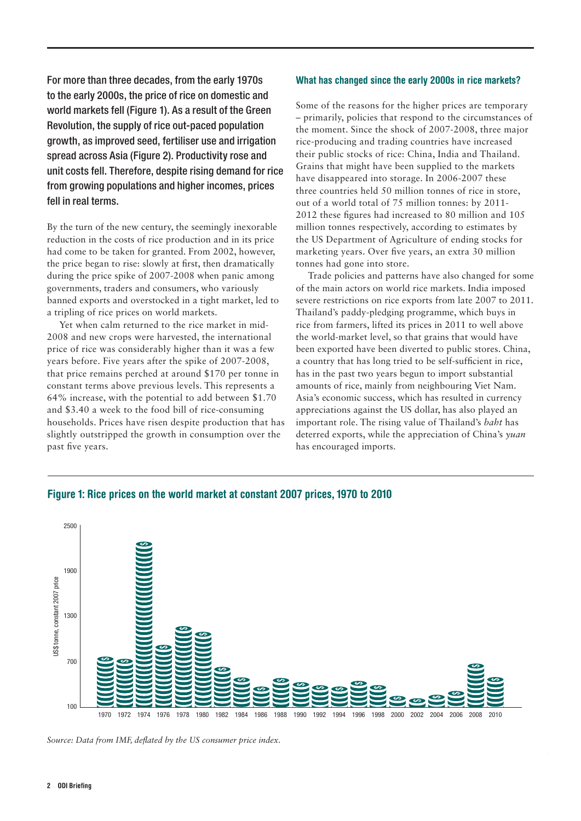For more than three decades, from the early 1970s to the early 2000s, the price of rice on domestic and world markets fell (Figure 1). As a result of the Green Revolution, the supply of rice out-paced population growth, as improved seed, fertiliser use and irrigation spread across Asia (Figure 2). Productivity rose and unit costs fell. Therefore, despite rising demand for rice from growing populations and higher incomes, prices fell in real terms.

By the turn of the new century, the seemingly inexorable reduction in the costs of rice production and in its price had come to be taken for granted. From 2002, however, the price began to rise: slowly at first, then dramatically during the price spike of 2007-2008 when panic among governments, traders and consumers, who variously banned exports and overstocked in a tight market, led to a tripling of rice prices on world markets.

Yet when calm returned to the rice market in mid-2008 and new crops were harvested, the international price of rice was considerably higher than it was a few years before. Five years after the spike of 2007-2008, that price remains perched at around \$170 per tonne in constant terms above previous levels. This represents a 64% increase, with the potential to add between \$1.70 and \$3.40 a week to the food bill of rice-consuming households. Prices have risen despite production that has slightly outstripped the growth in consumption over the past five years.

#### What has changed since the early 2000s in rice markets?

Some of the reasons for the higher prices are temporary – primarily, policies that respond to the circumstances of the moment. Since the shock of 2007-2008, three major rice-producing and trading countries have increased their public stocks of rice: China, India and Thailand. Grains that might have been supplied to the markets have disappeared into storage. In 2006-2007 these three countries held 50 million tonnes of rice in store, out of a world total of 75 million tonnes: by 2011- 2012 these figures had increased to 80 million and 105 million tonnes respectively, according to estimates by the US Department of Agriculture of ending stocks for marketing years. Over five years, an extra 30 million tonnes had gone into store.

Trade policies and patterns have also changed for some of the main actors on world rice markets. India imposed severe restrictions on rice exports from late 2007 to 2011. Thailand's paddy-pledging programme, which buys in rice from farmers, lifted its prices in 2011 to well above the world-market level, so that grains that would have been exported have been diverted to public stores. China, a country that has long tried to be self-sufficient in rice, has in the past two years begun to import substantial amounts of rice, mainly from neighbouring Viet Nam. Asia's economic success, which has resulted in currency appreciations against the US dollar, has also played an important role. The rising value of Thailand's *baht* has deterred exports, while the appreciation of China's *yuan* has encouraged imports.



#### Figure 1: Rice prices on the world market at constant 2007 prices, 1970 to 2010

*Source: Data from IMF, deflated by the US consumer price index.*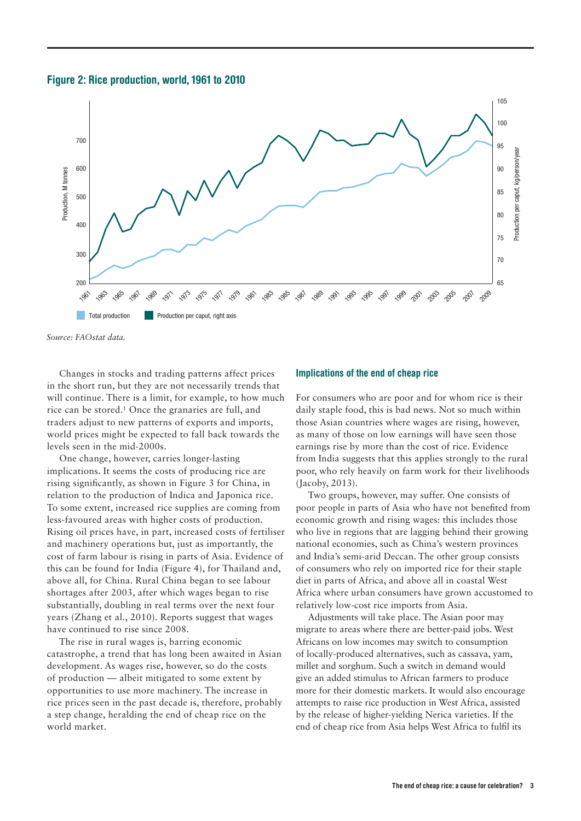



*Source: FAOstat data.*

Changes in stocks and trading patterns affect prices in the short run, but they are not necessarily trends that will continue. There is a limit, for example, to how much rice can be stored.1 Once the granaries are full, and traders adjust to new patterns of exports and imports, world prices might be expected to fall back towards the levels seen in the mid-2000s.

One change, however, carries longer-lasting implications. It seems the costs of producing rice are rising significantly, as shown in Figure 3 for China, in relation to the production of Indica and Japonica rice. To some extent, increased rice supplies are coming from less-favoured areas with higher costs of production. Rising oil prices have, in part, increased costs of fertiliser and machinery operations but, just as importantly, the cost of farm labour is rising in parts of Asia. Evidence of this can be found for India (Figure 4), for Thailand and, above all, for China. Rural China began to see labour shortages after 2003, after which wages began to rise substantially, doubling in real terms over the next four years (Zhang et al., 2010). Reports suggest that wages have continued to rise since 2008.

The rise in rural wages is, barring economic catastrophe, a trend that has long been awaited in Asian development. As wages rise, however, so do the costs of production — albeit mitigated to some extent by opportunities to use more machinery. The increase in rice prices seen in the past decade is, therefore, probably a step change, heralding the end of cheap rice on the world market.

#### Implications of the end of cheap rice

For consumers who are poor and for whom rice is their daily staple food, this is bad news. Not so much within those Asian countries where wages are rising, however, as many of those on low earnings will have seen those earnings rise by more than the cost of rice. Evidence from India suggests that this applies strongly to the rural poor, who rely heavily on farm work for their livelihoods (Jacoby, 2013).

Two groups, however, may suffer. One consists of poor people in parts of Asia who have not benefited from economic growth and rising wages: this includes those who live in regions that are lagging behind their growing national economies, such as China's western provinces and India's semi-arid Deccan. The other group consists of consumers who rely on imported rice for their staple diet in parts of Africa, and above all in coastal West Africa where urban consumers have grown accustomed to relatively low-cost rice imports from Asia.

Adjustments will take place. The Asian poor may migrate to areas where there are better-paid jobs. West Africans on low incomes may switch to consumption of locally-produced alternatives, such as cassava, yam, millet and sorghum. Such a switch in demand would give an added stimulus to African farmers to produce more for their domestic markets. It would also encourage attempts to raise rice production in West Africa, assisted by the release of higher-yielding Nerica varieties. If the end of cheap rice from Asia helps West Africa to fulfil its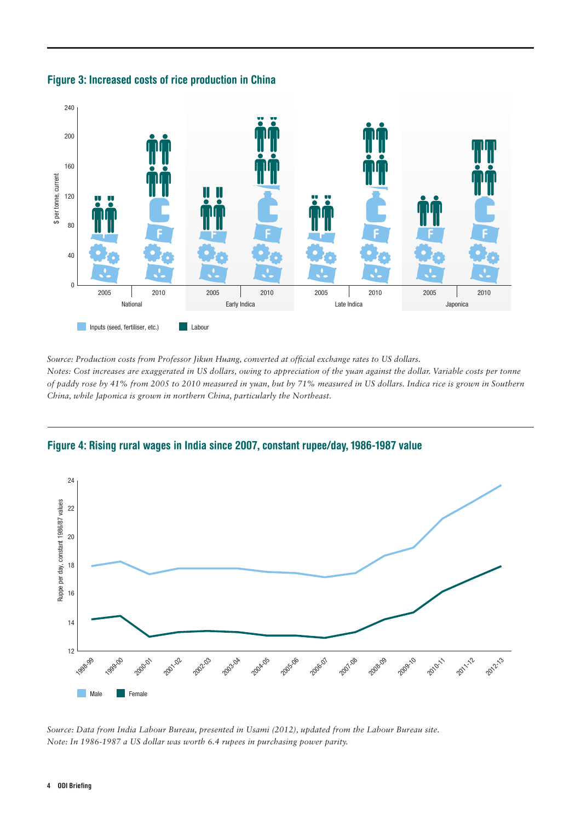

### Figure 3: Increased costs of rice production in China

*Source: Production costs from Professor Jikun Huang, converted at official exchange rates to US dollars.* 

*Notes: Cost increases are exaggerated in US dollars, owing to appreciation of the yuan against the dollar. Variable costs per tonne of paddy rose by 41% from 2005 to 2010 measured in yuan, but by 71% measured in US dollars. Indica rice is grown in Southern China, while Japonica is grown in northern China, particularly the Northeast.* 





*Source: Data from India Labour Bureau, presented in Usami (2012), updated from the Labour Bureau site. Note: In 1986-1987 a US dollar was worth 6.4 rupees in purchasing power parity.*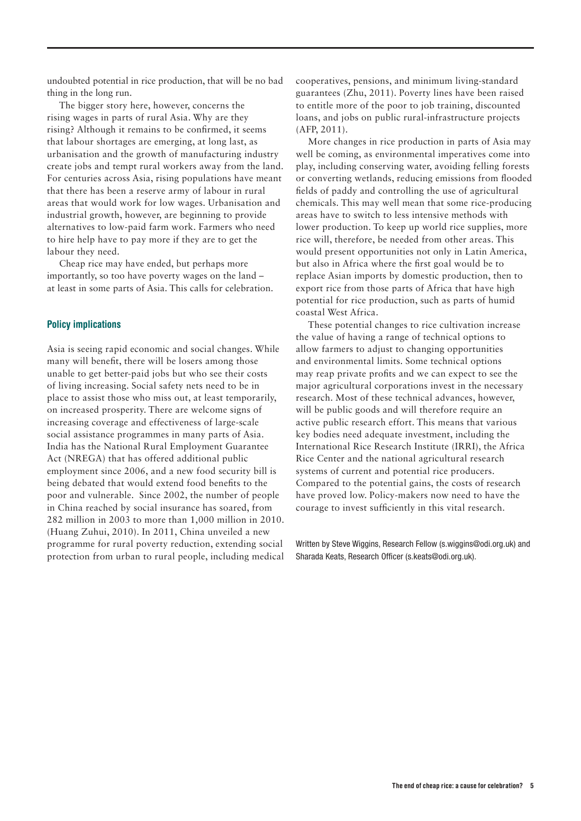undoubted potential in rice production, that will be no bad thing in the long run.

The bigger story here, however, concerns the rising wages in parts of rural Asia. Why are they rising? Although it remains to be confirmed, it seems that labour shortages are emerging, at long last, as urbanisation and the growth of manufacturing industry create jobs and tempt rural workers away from the land. For centuries across Asia, rising populations have meant that there has been a reserve army of labour in rural areas that would work for low wages. Urbanisation and industrial growth, however, are beginning to provide alternatives to low-paid farm work. Farmers who need to hire help have to pay more if they are to get the labour they need.

Cheap rice may have ended, but perhaps more importantly, so too have poverty wages on the land – at least in some parts of Asia. This calls for celebration.

#### Policy implications

Asia is seeing rapid economic and social changes. While many will benefit, there will be losers among those unable to get better-paid jobs but who see their costs of living increasing. Social safety nets need to be in place to assist those who miss out, at least temporarily, on increased prosperity. There are welcome signs of increasing coverage and effectiveness of large-scale social assistance programmes in many parts of Asia. India has the National Rural Employment Guarantee Act (NREGA) that has offered additional public employment since 2006, and a new food security bill is being debated that would extend food benefits to the poor and vulnerable. Since 2002, the number of people in China reached by social insurance has soared, from 282 million in 2003 to more than 1,000 million in 2010. (Huang Zuhui, 2010). In 2011, China unveiled a new programme for rural poverty reduction, extending social protection from urban to rural people, including medical

cooperatives, pensions, and minimum living-standard guarantees (Zhu, 2011). Poverty lines have been raised to entitle more of the poor to job training, discounted loans, and jobs on public rural-infrastructure projects (AFP, 2011).

More changes in rice production in parts of Asia may well be coming, as environmental imperatives come into play, including conserving water, avoiding felling forests or converting wetlands, reducing emissions from flooded fields of paddy and controlling the use of agricultural chemicals. This may well mean that some rice-producing areas have to switch to less intensive methods with lower production. To keep up world rice supplies, more rice will, therefore, be needed from other areas. This would present opportunities not only in Latin America, but also in Africa where the first goal would be to replace Asian imports by domestic production, then to export rice from those parts of Africa that have high potential for rice production, such as parts of humid coastal West Africa.

These potential changes to rice cultivation increase the value of having a range of technical options to allow farmers to adjust to changing opportunities and environmental limits. Some technical options may reap private profits and we can expect to see the major agricultural corporations invest in the necessary research. Most of these technical advances, however, will be public goods and will therefore require an active public research effort. This means that various key bodies need adequate investment, including the International Rice Research Institute (IRRI), the Africa Rice Center and the national agricultural research systems of current and potential rice producers. Compared to the potential gains, the costs of research have proved low. Policy-makers now need to have the courage to invest sufficiently in this vital research.

Written by Steve Wiggins, Research Fellow (s.wiggins@odi.org.uk) and Sharada Keats, Research Officer (s.keats@odi.org.uk).